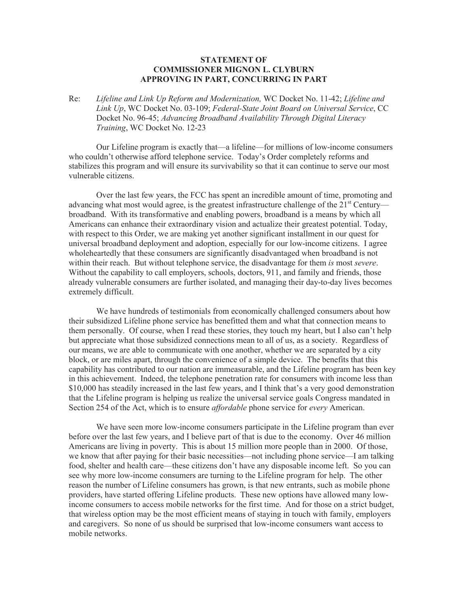## **STATEMENT OF COMMISSIONER MIGNON L. CLYBURN APPROVING IN PART, CONCURRING IN PART**

Re: *Lifeline and Link Up Reform and Modernization,* WC Docket No. 11-42; *Lifeline and Link Up*, WC Docket No. 03-109; *Federal-State Joint Board on Universal Service*, CC Docket No. 96-45; *Advancing Broadband Availability Through Digital Literacy Training*, WC Docket No. 12-23

Our Lifeline program is exactly that—a lifeline—for millions of low-income consumers who couldn't otherwise afford telephone service. Today's Order completely reforms and stabilizes this program and will ensure its survivability so that it can continue to serve our most vulnerable citizens.

Over the last few years, the FCC has spent an incredible amount of time, promoting and advancing what most would agree, is the greatest infrastructure challenge of the  $21<sup>st</sup>$  Century broadband. With its transformative and enabling powers, broadband is a means by which all Americans can enhance their extraordinary vision and actualize their greatest potential. Today, with respect to this Order, we are making yet another significant installment in our quest for universal broadband deployment and adoption, especially for our low-income citizens. I agree wholeheartedly that these consumers are significantly disadvantaged when broadband is not within their reach. But without telephone service, the disadvantage for them *is* most *severe*. Without the capability to call employers, schools, doctors, 911, and family and friends, those already vulnerable consumers are further isolated, and managing their day-to-day lives becomes extremely difficult.

We have hundreds of testimonials from economically challenged consumers about how their subsidized Lifeline phone service has benefitted them and what that connection means to them personally. Of course, when I read these stories, they touch my heart, but I also can't help but appreciate what those subsidized connections mean to all of us, as a society. Regardless of our means, we are able to communicate with one another, whether we are separated by a city block, or are miles apart, through the convenience of a simple device. The benefits that this capability has contributed to our nation are immeasurable, and the Lifeline program has been key in this achievement. Indeed, the telephone penetration rate for consumers with income less than \$10,000 has steadily increased in the last few years, and I think that's a very good demonstration that the Lifeline program is helping us realize the universal service goals Congress mandated in Section 254 of the Act, which is to ensure *affordable* phone service for *every* American.

We have seen more low-income consumers participate in the Lifeline program than ever before over the last few years, and I believe part of that is due to the economy. Over 46 million Americans are living in poverty. This is about 15 million more people than in 2000. Of those, we know that after paying for their basic necessities—not including phone service—I am talking food, shelter and health care—these citizens don't have any disposable income left. So you can see why more low-income consumers are turning to the Lifeline program for help. The other reason the number of Lifeline consumers has grown, is that new entrants, such as mobile phone providers, have started offering Lifeline products. These new options have allowed many lowincome consumers to access mobile networks for the first time. And for those on a strict budget, that wireless option may be the most efficient means of staying in touch with family, employers and caregivers. So none of us should be surprised that low-income consumers want access to mobile networks.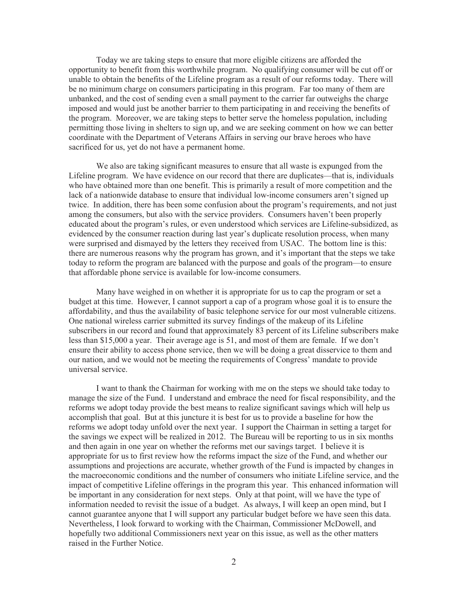Today we are taking steps to ensure that more eligible citizens are afforded the opportunity to benefit from this worthwhile program. No qualifying consumer will be cut off or unable to obtain the benefits of the Lifeline program as a result of our reforms today. There will be no minimum charge on consumers participating in this program. Far too many of them are unbanked, and the cost of sending even a small payment to the carrier far outweighs the charge imposed and would just be another barrier to them participating in and receiving the benefits of the program. Moreover, we are taking steps to better serve the homeless population, including permitting those living in shelters to sign up, and we are seeking comment on how we can better coordinate with the Department of Veterans Affairs in serving our brave heroes who have sacrificed for us, yet do not have a permanent home.

We also are taking significant measures to ensure that all waste is expunged from the Lifeline program. We have evidence on our record that there are duplicates—that is, individuals who have obtained more than one benefit. This is primarily a result of more competition and the lack of a nationwide database to ensure that individual low-income consumers aren't signed up twice. In addition, there has been some confusion about the program's requirements, and not just among the consumers, but also with the service providers. Consumers haven't been properly educated about the program's rules, or even understood which services are Lifeline-subsidized, as evidenced by the consumer reaction during last year's duplicate resolution process, when many were surprised and dismayed by the letters they received from USAC. The bottom line is this: there are numerous reasons why the program has grown, and it's important that the steps we take today to reform the program are balanced with the purpose and goals of the program—to ensure that affordable phone service is available for low-income consumers.

Many have weighed in on whether it is appropriate for us to cap the program or set a budget at this time. However, I cannot support a cap of a program whose goal it is to ensure the affordability, and thus the availability of basic telephone service for our most vulnerable citizens. One national wireless carrier submitted its survey findings of the makeup of its Lifeline subscribers in our record and found that approximately 83 percent of its Lifeline subscribers make less than \$15,000 a year. Their average age is 51, and most of them are female. If we don't ensure their ability to access phone service, then we will be doing a great disservice to them and our nation, and we would not be meeting the requirements of Congress' mandate to provide universal service.

I want to thank the Chairman for working with me on the steps we should take today to manage the size of the Fund. I understand and embrace the need for fiscal responsibility, and the reforms we adopt today provide the best means to realize significant savings which will help us accomplish that goal. But at this juncture it is best for us to provide a baseline for how the reforms we adopt today unfold over the next year. I support the Chairman in setting a target for the savings we expect will be realized in 2012. The Bureau will be reporting to us in six months and then again in one year on whether the reforms met our savings target. I believe it is appropriate for us to first review how the reforms impact the size of the Fund, and whether our assumptions and projections are accurate, whether growth of the Fund is impacted by changes in the macroeconomic conditions and the number of consumers who initiate Lifeline service, and the impact of competitive Lifeline offerings in the program this year. This enhanced information will be important in any consideration for next steps. Only at that point, will we have the type of information needed to revisit the issue of a budget. As always, I will keep an open mind, but I cannot guarantee anyone that I will support any particular budget before we have seen this data. Nevertheless, I look forward to working with the Chairman, Commissioner McDowell, and hopefully two additional Commissioners next year on this issue, as well as the other matters raised in the Further Notice.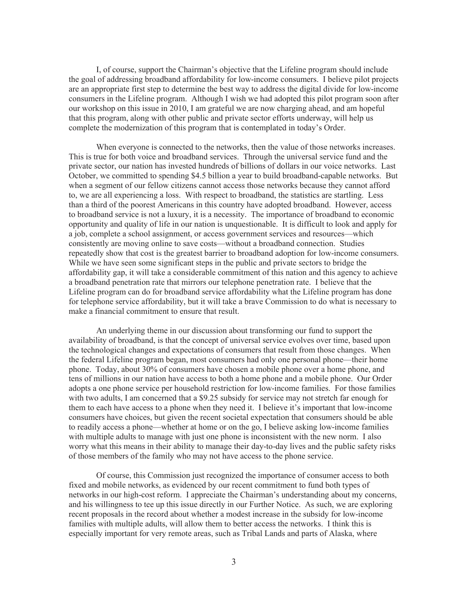I, of course, support the Chairman's objective that the Lifeline program should include the goal of addressing broadband affordability for low-income consumers. I believe pilot projects are an appropriate first step to determine the best way to address the digital divide for low-income consumers in the Lifeline program. Although I wish we had adopted this pilot program soon after our workshop on this issue in 2010, I am grateful we are now charging ahead, and am hopeful that this program, along with other public and private sector efforts underway, will help us complete the modernization of this program that is contemplated in today's Order.

When everyone is connected to the networks, then the value of those networks increases. This is true for both voice and broadband services. Through the universal service fund and the private sector, our nation has invested hundreds of billions of dollars in our voice networks. Last October, we committed to spending \$4.5 billion a year to build broadband-capable networks. But when a segment of our fellow citizens cannot access those networks because they cannot afford to, we are all experiencing a loss. With respect to broadband, the statistics are startling. Less than a third of the poorest Americans in this country have adopted broadband. However, access to broadband service is not a luxury, it is a necessity. The importance of broadband to economic opportunity and quality of life in our nation is unquestionable. It is difficult to look and apply for a job, complete a school assignment, or access government services and resources—which consistently are moving online to save costs—without a broadband connection. Studies repeatedly show that cost is the greatest barrier to broadband adoption for low-income consumers. While we have seen some significant steps in the public and private sectors to bridge the affordability gap, it will take a considerable commitment of this nation and this agency to achieve a broadband penetration rate that mirrors our telephone penetration rate. I believe that the Lifeline program can do for broadband service affordability what the Lifeline program has done for telephone service affordability, but it will take a brave Commission to do what is necessary to make a financial commitment to ensure that result.

An underlying theme in our discussion about transforming our fund to support the availability of broadband, is that the concept of universal service evolves over time, based upon the technological changes and expectations of consumers that result from those changes. When the federal Lifeline program began, most consumers had only one personal phone—their home phone. Today, about 30% of consumers have chosen a mobile phone over a home phone, and tens of millions in our nation have access to both a home phone and a mobile phone. Our Order adopts a one phone service per household restriction for low-income families. For those families with two adults, I am concerned that a \$9.25 subsidy for service may not stretch far enough for them to each have access to a phone when they need it. I believe it's important that low-income consumers have choices, but given the recent societal expectation that consumers should be able to readily access a phone—whether at home or on the go, I believe asking low-income families with multiple adults to manage with just one phone is inconsistent with the new norm. I also worry what this means in their ability to manage their day-to-day lives and the public safety risks of those members of the family who may not have access to the phone service.

Of course, this Commission just recognized the importance of consumer access to both fixed and mobile networks, as evidenced by our recent commitment to fund both types of networks in our high-cost reform. I appreciate the Chairman's understanding about my concerns, and his willingness to tee up this issue directly in our Further Notice. As such, we are exploring recent proposals in the record about whether a modest increase in the subsidy for low-income families with multiple adults, will allow them to better access the networks. I think this is especially important for very remote areas, such as Tribal Lands and parts of Alaska, where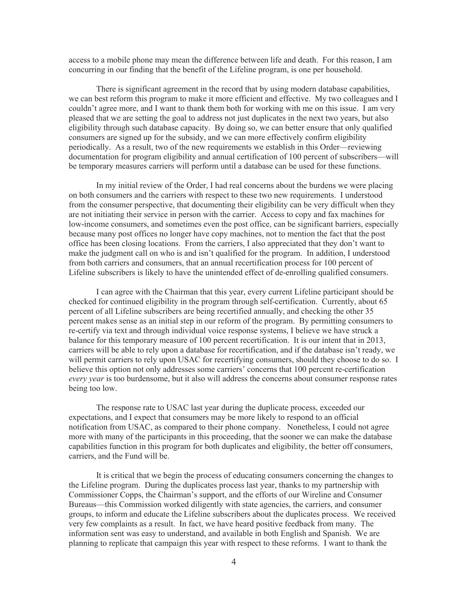access to a mobile phone may mean the difference between life and death. For this reason, I am concurring in our finding that the benefit of the Lifeline program, is one per household.

There is significant agreement in the record that by using modern database capabilities, we can best reform this program to make it more efficient and effective. My two colleagues and I couldn't agree more, and I want to thank them both for working with me on this issue. I am very pleased that we are setting the goal to address not just duplicates in the next two years, but also eligibility through such database capacity. By doing so, we can better ensure that only qualified consumers are signed up for the subsidy, and we can more effectively confirm eligibility periodically. As a result, two of the new requirements we establish in this Order—reviewing documentation for program eligibility and annual certification of 100 percent of subscribers—will be temporary measures carriers will perform until a database can be used for these functions.

In my initial review of the Order, I had real concerns about the burdens we were placing on both consumers and the carriers with respect to these two new requirements. I understood from the consumer perspective, that documenting their eligibility can be very difficult when they are not initiating their service in person with the carrier. Access to copy and fax machines for low-income consumers, and sometimes even the post office, can be significant barriers, especially because many post offices no longer have copy machines, not to mention the fact that the post office has been closing locations. From the carriers, I also appreciated that they don't want to make the judgment call on who is and isn't qualified for the program. In addition, I understood from both carriers and consumers, that an annual recertification process for 100 percent of Lifeline subscribers is likely to have the unintended effect of de-enrolling qualified consumers.

I can agree with the Chairman that this year, every current Lifeline participant should be checked for continued eligibility in the program through self-certification. Currently, about 65 percent of all Lifeline subscribers are being recertified annually, and checking the other 35 percent makes sense as an initial step in our reform of the program. By permitting consumers to re-certify via text and through individual voice response systems, I believe we have struck a balance for this temporary measure of 100 percent recertification. It is our intent that in 2013, carriers will be able to rely upon a database for recertification, and if the database isn't ready, we will permit carriers to rely upon USAC for recertifying consumers, should they choose to do so. I believe this option not only addresses some carriers' concerns that 100 percent re-certification *every year* is too burdensome, but it also will address the concerns about consumer response rates being too low.

The response rate to USAC last year during the duplicate process, exceeded our expectations, and I expect that consumers may be more likely to respond to an official notification from USAC, as compared to their phone company. Nonetheless, I could not agree more with many of the participants in this proceeding, that the sooner we can make the database capabilities function in this program for both duplicates and eligibility, the better off consumers, carriers, and the Fund will be.

It is critical that we begin the process of educating consumers concerning the changes to the Lifeline program. During the duplicates process last year, thanks to my partnership with Commissioner Copps, the Chairman's support, and the efforts of our Wireline and Consumer Bureaus—this Commission worked diligently with state agencies, the carriers, and consumer groups, to inform and educate the Lifeline subscribers about the duplicates process. We received very few complaints as a result. In fact, we have heard positive feedback from many. The information sent was easy to understand, and available in both English and Spanish. We are planning to replicate that campaign this year with respect to these reforms. I want to thank the